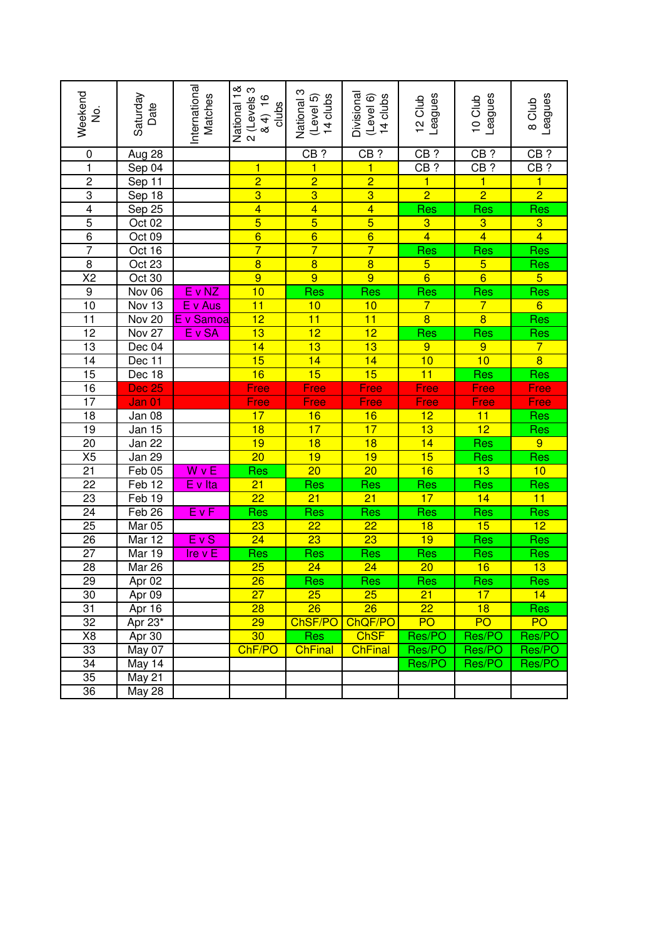| Weekend<br>.<br>2                         | Saturday<br>Date           | Internationa<br>Matches | National 1&<br>2 (Levels 3<br>84) 16<br>clubs | National 3<br>14 clubs<br>(Level 5) | Divisional<br>(Level 6)<br>14 clubs | Leagues<br>12 Club      | Leagues<br>10 Club      | Leagues<br>8 Club       |
|-------------------------------------------|----------------------------|-------------------------|-----------------------------------------------|-------------------------------------|-------------------------------------|-------------------------|-------------------------|-------------------------|
| $\pmb{0}$                                 | Aug 28                     |                         |                                               | $CB$ ?                              | $CB$ ?                              | $CB$ ?                  | $CB$ ?                  | $CB$ ?                  |
| $\overline{\mathbf{1}}$                   | Sep 04                     |                         | 1                                             | $\mathbf{1}$                        | $\overline{\mathbf{1}}$             | $CB$ ?                  | $CB$ ?                  | $CB$ ?                  |
|                                           | Sep 11                     |                         | $\overline{2}$                                | $\overline{2}$                      | $\overline{2}$                      | $\overline{\mathbf{1}}$ | $\overline{1}$          | $\overline{\mathbf{1}}$ |
|                                           | Sep 18                     |                         | $\overline{3}$                                | $\overline{3}$                      | $\overline{3}$                      | $\overline{2}$          | $\overline{2}$          | $\overline{2}$          |
|                                           | Sep 25                     |                         | $\overline{4}$                                | $\overline{4}$                      | $\overline{4}$                      | Res                     | Res                     | Res                     |
| $\frac{2}{3}$ $\frac{4}{5}$ $\frac{5}{6}$ | Oct 02                     |                         | $\overline{5}$                                | $\overline{5}$                      | $\overline{5}$                      | $\overline{3}$          | $\overline{3}$          | $\overline{3}$          |
|                                           | Oct 09                     |                         | $\overline{6}$                                | $\overline{6}$                      | $\overline{6}$                      | $\overline{4}$          | $\overline{4}$          | $\overline{4}$          |
| $\overline{7}$                            | Oct 16                     |                         | $\overline{7}$                                | $\overline{7}$                      | $\overline{7}$                      | Res                     | Res                     | Res                     |
| $\overline{8}$                            | Oct 23                     |                         | $\overline{8}$                                | $\overline{8}$                      | $\overline{8}$                      | $\overline{5}$          | $\overline{5}$          | <u>Res</u>              |
| $\overline{\text{X2}}$                    | Oct 30                     |                         | $\overline{9}$                                | $\overline{9}$                      | $\overline{9}$                      | $\overline{6}$          | $\overline{6}$          | 5 <sup>2</sup>          |
| $\overline{9}$                            | Nov 06                     | E v NZ                  | 10                                            | Res                                 | Res                                 |                         | $rac{\text{Res}}{7}$    | Res                     |
| $\overline{10}$                           | Nov 13                     | E v Aus                 | 11                                            | 10                                  | 10                                  | $rac{Res}{7}$           |                         | $6 \overline{}$         |
| $\overline{11}$                           | Nov <sub>20</sub>          | E v Samoa               | $\overline{12}$                               | 11                                  | 11                                  | $\overline{8}$          | $\overline{8}$          | Res                     |
| $\overline{12}$                           | $\overline{\text{Nov }27}$ | $E$ v SA                | $\overline{13}$                               | $\overline{12}$                     | $\overline{12}$                     | Res                     | Res                     | <b>Res</b>              |
| $\overline{13}$                           | Dec 04                     |                         | 14                                            | $\overline{13}$                     | 13                                  | $\overline{9}$          | $\overline{9}$          | $\overline{7}$          |
| $\overline{14}$                           | Dec 11                     |                         | 15                                            | 14                                  | 14                                  | 10                      | 10                      | $\overline{8}$          |
| 15                                        | Dec 18                     |                         | 16                                            | 15                                  | 15                                  | 11                      | $\overline{\text{Res}}$ | Res                     |
| 16                                        | Dec 25                     |                         | Free                                          | Free                                | Free                                | Free                    | Free                    | Free                    |
| $\overline{17}$                           | Jan 01                     |                         | Free                                          | Free                                | Free                                | Free                    | Free                    | Free                    |
| 18                                        | Jan 08                     |                         | 17                                            | 16                                  | $\overline{16}$                     | 12                      | 11                      | Res                     |
| $\overline{19}$                           | Jan 15                     |                         | 18                                            | 17                                  | 17                                  | 13                      | $\overline{12}$         | <b>Res</b>              |
| $\overline{20}$                           | Jan 22                     |                         | 19                                            | $\overline{18}$                     | 18                                  | 14                      | Res                     | $\overline{9}$          |
| X5                                        | Jan 29                     |                         | $\overline{20}$                               | 19                                  | 19                                  | 15                      | Res                     | Res                     |
| $\overline{21}$                           | Feb 05                     | W v E                   | Res                                           | $\overline{20}$                     | $\overline{20}$                     | 16                      | 13                      | 10                      |
| $\overline{22}$                           | Feb <sub>12</sub>          | $E$ v Ita               | $\overline{21}$                               | Res                                 | Res                                 | <u>Res</u>              | Res                     | Res                     |
| 23                                        | Feb <sub>19</sub>          |                         | $\overline{22}$                               | $\overline{21}$                     | $\overline{21}$                     | 17                      | 14                      | 11                      |
| $\overline{24}$                           | Feb <sub>26</sub>          | $E$ v $F$               | Res                                           | Res                                 | Res                                 | <u>Res</u>              | Res                     | Res                     |
| 25                                        | Mar 05                     |                         | 23                                            | $\overline{22}$                     | $\overline{22}$                     | $\overline{18}$         | 15                      | 12                      |
| 26                                        | Mar 12                     | $E\vee S$               | $\overline{24}$                               | $\overline{23}$                     | $\overline{23}$                     | 19                      | Res                     | <b>Res</b>              |
| $\overline{27}$                           | Mar 19                     | Ire v $E$               | Res                                           | Res                                 | Res                                 | Res                     | Res                     | Res                     |
| $\overline{28}$                           | Mar 26                     |                         | $\overline{25}$                               | $\overline{24}$                     | $\overline{24}$                     | $\overline{20}$         | 16                      | 13                      |
| 29                                        | Apr 02                     |                         | $\overline{26}$                               | <b>Res</b>                          | Res                                 | Res                     | $\overline{\text{Res}}$ | Res                     |
| 30                                        | Apr 09                     |                         | 27                                            | 25                                  | 25                                  | 21                      | 17                      | 14                      |
| 31                                        | Apr 16                     |                         | 28                                            | 26                                  | 26                                  | 22                      | 18                      | <b>Res</b>              |
| 32                                        | Apr 23*                    |                         | 29                                            | ChSF/PO                             | ChQF/PO                             | PO                      | PO                      | <b>PO</b>               |
| X8                                        | Apr 30                     |                         | 30                                            | <b>Res</b>                          | <b>ChSF</b>                         | Res/PO                  | Res/PO                  | Res/PO                  |
| 33                                        | May 07                     |                         | ChF/PO                                        | <b>ChFinal</b>                      | <b>ChFinal</b>                      | Res/PO                  | Res/PO                  | Res/PO                  |
| 34                                        | May 14                     |                         |                                               |                                     |                                     | Res/PO                  | Res/PO                  | Res/PO                  |
| 35                                        | <b>May 21</b>              |                         |                                               |                                     |                                     |                         |                         |                         |
| 36                                        | <b>May 28</b>              |                         |                                               |                                     |                                     |                         |                         |                         |